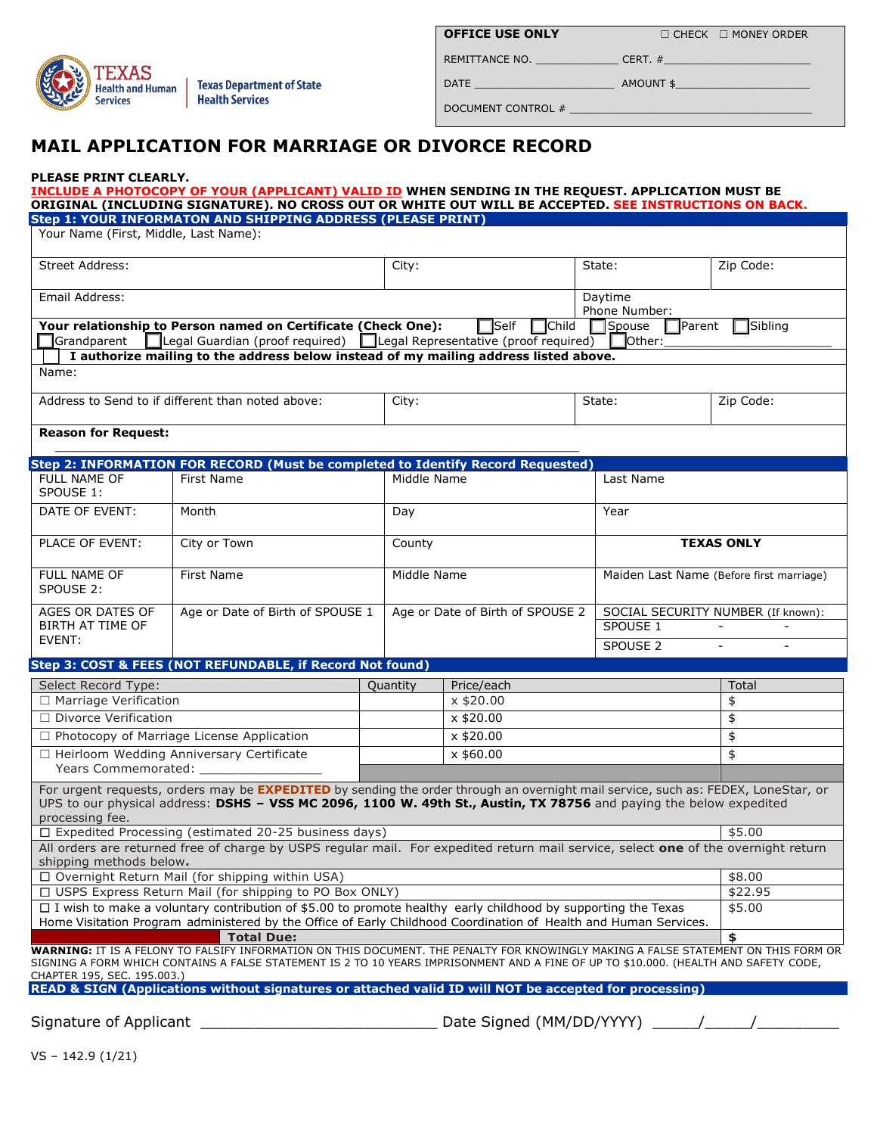

**OFFICE USE ONLY** 

**OFFICE USE ONLY** ☐ CHECK ☐ MONEY ORDER

DATE \_\_\_\_\_\_\_\_\_\_\_\_\_\_\_\_\_\_\_\_\_\_ AMOUNT \$\_\_\_\_\_\_\_\_\_\_\_\_\_\_\_\_\_\_\_\_\_

DOCUMENT CONTROL # \_\_\_\_\_\_\_\_\_\_\_\_\_\_\_\_\_\_\_\_\_\_\_\_\_\_\_\_\_\_\_\_\_\_\_\_\_\_

REMITTANCE NO. \_\_\_\_\_\_\_\_\_\_\_\_\_ CERT. #\_\_\_\_\_\_\_\_\_\_\_\_\_\_\_\_\_\_\_\_\_\_\_

## **MAIL APPLICATION FOR MARRIAGE OR DIVORCE RECORD**

## **PLEASE PRINT CLEARLY.**

### **INCLUDE A PHOTOCOPY OF YOUR (APPLICANT) VALID ID WHEN SENDING IN THE REQUEST. APPLICATION MUST BE ORIGINAL (INCLUDING SIGNATURE). NO CROSS OUT OR WHITE OUT WILL BE ACCEPTED. SEE INSTRUCTIONS ON BACK. Step 1: YOUR INFORMATON AND SHIPPING ADDRESS (PLEASE PRINT)**

| SLEP 1. TOON INFONTATION AND SHIFFING ADDNESS<br>Your Name (First, Middle, Last Name):                                                                                                                                                                                     |                                                                                                                                      |  |             |                                  |        |                                                |             |  |
|----------------------------------------------------------------------------------------------------------------------------------------------------------------------------------------------------------------------------------------------------------------------------|--------------------------------------------------------------------------------------------------------------------------------------|--|-------------|----------------------------------|--------|------------------------------------------------|-------------|--|
|                                                                                                                                                                                                                                                                            |                                                                                                                                      |  |             |                                  |        |                                                |             |  |
| <b>Street Address:</b>                                                                                                                                                                                                                                                     |                                                                                                                                      |  | City:       |                                  | State: |                                                | Zip Code:   |  |
| Email Address:                                                                                                                                                                                                                                                             |                                                                                                                                      |  |             |                                  |        | Daytime<br>Phone Number:                       |             |  |
| Your relationship to Person named on Certificate (Check One):<br>$\Box$ Self<br><b>Ochild</b><br>Sibling<br>Spouse<br><b>T</b> Parent                                                                                                                                      |                                                                                                                                      |  |             |                                  |        |                                                |             |  |
| Legal Guardian (proof required)<br>Legal Representative (proof required)<br>$\exists$ Other:<br>Grandparent                                                                                                                                                                |                                                                                                                                      |  |             |                                  |        |                                                |             |  |
| I authorize mailing to the address below instead of my mailing address listed above.                                                                                                                                                                                       |                                                                                                                                      |  |             |                                  |        |                                                |             |  |
| Name:                                                                                                                                                                                                                                                                      |                                                                                                                                      |  |             |                                  |        |                                                |             |  |
| Address to Send to if different than noted above:                                                                                                                                                                                                                          |                                                                                                                                      |  | City:       |                                  | State: |                                                | Zip Code:   |  |
| <b>Reason for Request:</b>                                                                                                                                                                                                                                                 |                                                                                                                                      |  |             |                                  |        |                                                |             |  |
|                                                                                                                                                                                                                                                                            |                                                                                                                                      |  |             |                                  |        |                                                |             |  |
| Step 2: INFORMATION FOR RECORD (Must be completed to Identify Record Requested)                                                                                                                                                                                            |                                                                                                                                      |  |             |                                  |        |                                                |             |  |
| <b>FULL NAME OF</b><br>SPOUSE 1:                                                                                                                                                                                                                                           | First Name                                                                                                                           |  | Middle Name |                                  |        | Last Name                                      |             |  |
| DATE OF EVENT:                                                                                                                                                                                                                                                             | Month                                                                                                                                |  | Day         |                                  |        | Year                                           |             |  |
| PLACE OF EVENT:                                                                                                                                                                                                                                                            | City or Town                                                                                                                         |  | County      |                                  |        | <b>TEXAS ONLY</b>                              |             |  |
| FULL NAME OF<br>SPOUSE 2:                                                                                                                                                                                                                                                  | First Name                                                                                                                           |  | Middle Name |                                  |        | Maiden Last Name (Before first marriage)       |             |  |
| AGES OR DATES OF<br>Age or Date of Birth of SPOUSE 1<br><b>BIRTH AT TIME OF</b>                                                                                                                                                                                            |                                                                                                                                      |  |             | Age or Date of Birth of SPOUSE 2 |        | SOCIAL SECURITY NUMBER (If known):<br>SPOUSE 1 |             |  |
| EVENT:                                                                                                                                                                                                                                                                     |                                                                                                                                      |  |             |                                  |        | SPOUSE <sub>2</sub>                            |             |  |
| Step 3: COST & FEES (NOT REFUNDABLE, if Record Not found)                                                                                                                                                                                                                  |                                                                                                                                      |  |             |                                  |        |                                                |             |  |
|                                                                                                                                                                                                                                                                            |                                                                                                                                      |  |             |                                  |        |                                                |             |  |
| Select Record Type:<br>□ Marriage Verification                                                                                                                                                                                                                             |                                                                                                                                      |  | Quantity    | Price/each<br>$x$ \$20.00        |        |                                                | Total<br>\$ |  |
| □ Divorce Verification                                                                                                                                                                                                                                                     |                                                                                                                                      |  | $x$ \$20.00 |                                  |        |                                                | \$          |  |
| □ Photocopy of Marriage License Application                                                                                                                                                                                                                                |                                                                                                                                      |  | $x$ \$20.00 |                                  |        |                                                | \$          |  |
| □ Heirloom Wedding Anniversary Certificate                                                                                                                                                                                                                                 |                                                                                                                                      |  | x \$60.00   |                                  |        |                                                | \$          |  |
| Years Commemorated:                                                                                                                                                                                                                                                        |                                                                                                                                      |  |             |                                  |        |                                                |             |  |
| For urgent requests, orders may be EXPEDITED by sending the order through an overnight mail service, such as: FEDEX, LoneStar, or<br>UPS to our physical address: DSHS - VSS MC 2096, 1100 W. 49th St., Austin, TX 78756 and paying the below expedited<br>processing fee. |                                                                                                                                      |  |             |                                  |        |                                                |             |  |
| □ Expedited Processing (estimated 20-25 business days)<br>\$5.00                                                                                                                                                                                                           |                                                                                                                                      |  |             |                                  |        |                                                |             |  |
| All orders are returned free of charge by USPS regular mail. For expedited return mail service, select one of the overnight return<br>shipping methods below.                                                                                                              |                                                                                                                                      |  |             |                                  |        |                                                |             |  |
| □ Overnight Return Mail (for shipping within USA)                                                                                                                                                                                                                          |                                                                                                                                      |  |             |                                  |        |                                                | \$8.00      |  |
| □ USPS Express Return Mail (for shipping to PO Box ONLY)                                                                                                                                                                                                                   |                                                                                                                                      |  |             |                                  |        |                                                | \$22.95     |  |
| $\Box$ I wish to make a voluntary contribution of \$5.00 to promote healthy early childhood by supporting the Texas                                                                                                                                                        |                                                                                                                                      |  |             |                                  |        |                                                | \$5.00      |  |
| Home Visitation Program administered by the Office of Early Childhood Coordination of Health and Human Services.<br><b>Total Due:</b>                                                                                                                                      |                                                                                                                                      |  |             |                                  |        |                                                | \$          |  |
| WARNING: IT IS A FELONY TO FALSIFY INFORMATION ON THIS DOCUMENT. THE PENALTY FOR KNOWINGLY MAKING A FALSE STATEMENT ON THIS FORM OR                                                                                                                                        |                                                                                                                                      |  |             |                                  |        |                                                |             |  |
|                                                                                                                                                                                                                                                                            | SIGNING A FORM WHICH CONTAINS A FALSE STATEMENT IS 2 TO 10 YEARS IMPRISONMENT AND A FINE OF UP TO \$10.000. (HEALTH AND SAFETY CODE, |  |             |                                  |        |                                                |             |  |
| CHAPTER 195, SEC. 195.003.)<br>a wikhawk alamahwaga ay akhashad walid TB will NOT ha aga<br>BEAR O CEOM / AUGUST 2017                                                                                                                                                      |                                                                                                                                      |  |             |                                  |        |                                                |             |  |

 **READ & SIGN (Applications without signatures or attached valid ID will NOT be accepted for processing)** 

Signature of Applicant \_\_\_\_\_\_\_\_\_\_\_\_\_\_\_\_\_\_\_\_\_\_\_\_\_\_ Date Signed (MM/DD/YYYY) \_\_\_\_\_/\_\_\_\_\_/\_\_\_\_\_\_\_\_\_